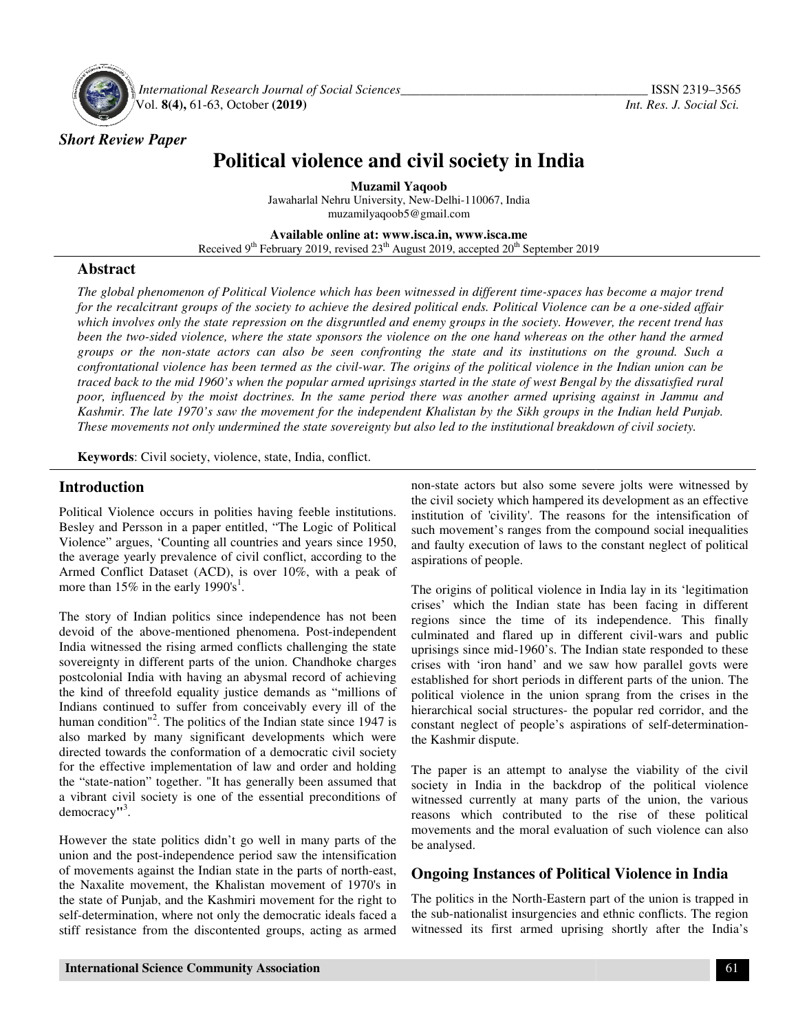

*Short Review Paper*

 *International Research Journal Journal of Social Sciences\_\_\_\_\_\_\_\_\_\_\_\_\_\_\_\_\_\_\_\_\_\_\_\_\_\_\_\_\_\_\_\_\_\_\_* Vol. **8(4),** 61-63, October **(2019) (2019)**

# **Political violence and civil society in India Political violence and**

Jawaharlal Nehru University, New-Delhi-110067, India **Muzamil Yaqoob**  muzamilyaqoob5@gmail.com

**Available Available online at: www.isca.in, www.isca.me**  Received 9<sup>th</sup> February 2019, revised 23<sup>th</sup> August 2019, accepted 20<sup>th</sup> September 2019

### **Abstract**

The global phenomenon of Political Violence which has been witnessed in different time-spaces has become a major trend for the recalcitrant groups of the society to achieve the desired political ends. Political Violence can be a one-sided affair *which involves only the state repression on the disgruntled and enemy groups in the society. However, the re been the two-sided violence, where the state sponsors the violence on the one hand whereas on the other hand the armed groups or the non-state actors can also be seen confronting the state and its institutions on the ground. Such a confrontational violence has been termed as the civil the political Indian union traced back to the mid 1960's when the popular armed uprisings started in the state of west Bengal by the dissatisfied rural poor, influenced by the moist doctrines. In the same period there was another armed uprising against in Jammu and Kashmir. The late 1970's saw the movement for the independent Khalistan by the Sikh groups in the Indian held Punjab. These movements not only undermined the the to Violence calcitrant groups of the society to achieve the desired political ends. Political Violence can be a one-sided affair*<br>*thes only the state repression on the disgruntled and enemy groups in the society. How the mid 1960's when the popular armed uprisings started in the state of west Bengal by the dissatisfied rural*<br>*ed by the moist doctrines. In the same period there was another armed uprising against in Jammu and*<br>*ate 197 recent trend has* 

**Keywords**: Civil society, violence, state, India, conflict.

#### **Introduction**

Political Violence occurs in polities having feeble institutions. Besley and Persson in a paper entitled, "The Logic of Political Violence" argues, 'Counting all countries and years since 1950, the average yearly prevalence of civil conflict, according to Armed Conflict Dataset (ACD), is over 10%, with a peak of more than 15% in the early 1990's<sup>1</sup>. polities having feeble institutions.<br>Persson in a paper entitled, "The Logic of Political<br>rgues, 'Counting all countries and years since 1950,<br>yearly prevalence of civil conflict, according to the

The story of Indian politics since independence has not been devoid of the above-mentioned phenomena. Post-independent India witnessed the rising armed conflicts challenging the state sovereignty in different parts of the union. Chandhoke charges postcolonial India with having an abysmal record of achieving the kind of threefold equality justice demands as "millions of Indians continued to suffer from conceivably every ill of the human condition"<sup>2</sup>. The politics of the Indian state since 1947 is also marked by many significant developments which were directed towards the conformation of a democratic civil society for the effective implementation of law and order and holding the "state-nation" together. "It has generally been assumed that a vibrant civil society is one of the essential preconditions of democracy**"** 3 . Armed Conflict Dataset (ACD), is over 10%, with a peak of<br>more than 15% in the early 1990's<sup>1</sup>.<br>The story of Indian politics since independence has not been<br>devoid of the above-mentioned phenomena. Post-independent India witnessed the rising armed conflicts challenging the state<br>sovereignty in different parts of the union. Chandhoke charges<br>postcolonial India with having an abysmal record of achieving<br>the kind of threefold equality j **roduction**<br> **in** costs and the civil solence the state and most state and we show the some severe joist were witnessed by<br>the individual Videone courses are flective by and Person in a paper entitled, "The Legie of Politi

However the state politics didn't go well in many parts of the union and the post-independence period saw the intensification of movements against the Indian state in the parts of north the Naxalite movement, the Khalistan movement of 1970's in the state of Punjab, and the Kashmiri movement for the right to self-determination, where not only the democratic ideals faced a stiff resistance from the discontented groups, acting as armed the "state-nation" together. "It has generally been assumed that<br>a vibrant civil society is one of the essential preconditions of<br>democracy<sup>13</sup>.<br>However the state politics didn't go well in many parts of the<br>union and the

the civil society which hampered its development as an effective institution of 'civility'. The reasons for the intensification of such movement's ranges from the compound social inequalities and faulty execution of laws to the constant neglect of political aspirations of people. -state actors but also some severe jolts were witnessed by civil society which hampered its development as an effective itution of 'civility'. The reasons for the intensification of

The origins of political violence in India lay in its 'legitimation crises' which the Indian state has been facing in different regions since the time of its independence. This finally culminated and flared up in different civil uprisings since mid-1960's. The Indian state responded to these crises with 'iron hand' and we saw how parallel govts were established for short periods in different parts of the union. political violence in the union sprang from the crises in the hierarchical social structures- the popular red corridor, and the constant neglect of people's aspirations of self the Kashmir dispute. aspirations of people.<br>The origins of political violence in India lay in its 'legitimation<br>crises' which the Indian state has been facing in different<br>regions since the time of its independence. This finally<br>culminated and uprisings since mid-1960's. The Indian state responded to these crises with 'iron hand' and we saw how parallel govts were established for short periods in different parts of the union. The violence in the union sprang from the crises in the<br>cal social structures- the popular red corridor, and the<br>neglect of people's aspirations of self-determination-

The paper is an attempt to analyse the viability of the civil society in India in the backdrop of the political violence witnessed currently at many parts of the union, the various reasons which contributed to the rise of these political movements and the moral evaluation of such violence can also be analysed. The paper is an attempt to analyse the viability of the society in India in the backdrop of the political violent<br>witnessed currently at many parts of the union, the var<br>reasons which contributed to the rise of these poli

### **Ongoing Instances of Political Violence in India**

The politics in the North-Eastern part of the union is trapped in the sub-nationalist insurgencies and ethnic conflicts. The region witnessed its first armed uprising shortly after the India's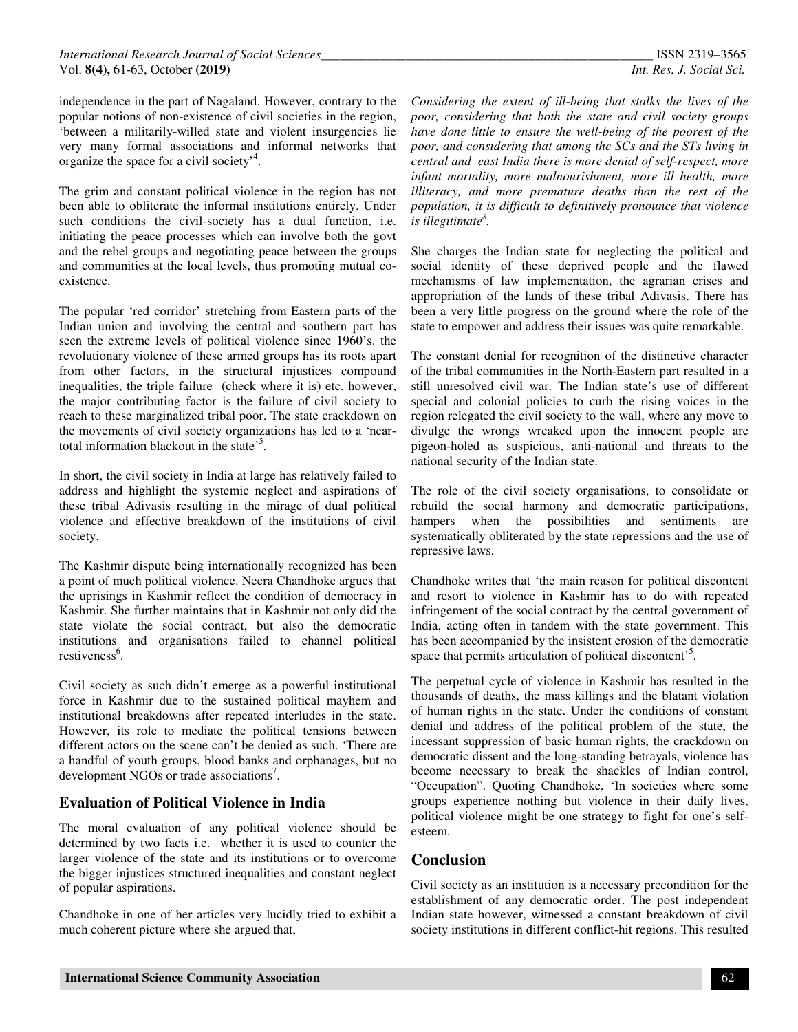independence in the part of Nagaland. However, contrary to the popular notions of non-existence of civil societies in the region, 'between a militarily-willed state and violent insurgencies lie very many formal associations and informal networks that organize the space for a civil society<sup>,4</sup>.

The grim and constant political violence in the region has not been able to obliterate the informal institutions entirely. Under such conditions the civil-society has a dual function, i.e. initiating the peace processes which can involve both the govt and the rebel groups and negotiating peace between the groups and communities at the local levels, thus promoting mutual coexistence.

The popular 'red corridor' stretching from Eastern parts of the Indian union and involving the central and southern part has seen the extreme levels of political violence since 1960's. the revolutionary violence of these armed groups has its roots apart from other factors, in the structural injustices compound inequalities, the triple failure (check where it is) etc. however, the major contributing factor is the failure of civil society to reach to these marginalized tribal poor. The state crackdown on the movements of civil society organizations has led to a 'neartotal information blackout in the state<sup>5</sup>.

In short, the civil society in India at large has relatively failed to address and highlight the systemic neglect and aspirations of these tribal Adivasis resulting in the mirage of dual political violence and effective breakdown of the institutions of civil society.

The Kashmir dispute being internationally recognized has been a point of much political violence. Neera Chandhoke argues that the uprisings in Kashmir reflect the condition of democracy in Kashmir. She further maintains that in Kashmir not only did the state violate the social contract, but also the democratic institutions and organisations failed to channel political restiveness<sup>6</sup>.

Civil society as such didn't emerge as a powerful institutional force in Kashmir due to the sustained political mayhem and institutional breakdowns after repeated interludes in the state. However, its role to mediate the political tensions between different actors on the scene can't be denied as such. 'There are a handful of youth groups, blood banks and orphanages, but no development NGOs or trade associations<sup>7</sup>.

## **Evaluation of Political Violence in India**

The moral evaluation of any political violence should be determined by two facts i.e. whether it is used to counter the larger violence of the state and its institutions or to overcome the bigger injustices structured inequalities and constant neglect of popular aspirations.

Chandhoke in one of her articles very lucidly tried to exhibit a much coherent picture where she argued that,

*Considering the extent of ill-being that stalks the lives of the poor, considering that both the state and civil society groups have done little to ensure the well-being of the poorest of the poor, and considering that among the SCs and the STs living in central and east India there is more denial of self-respect, more infant mortality, more malnourishment, more ill health, more illiteracy, and more premature deaths than the rest of the population, it is difficult to definitively pronounce that violence is illegitimate<sup>8</sup> .* 

She charges the Indian state for neglecting the political and social identity of these deprived people and the flawed mechanisms of law implementation, the agrarian crises and appropriation of the lands of these tribal Adivasis. There has been a very little progress on the ground where the role of the state to empower and address their issues was quite remarkable.

The constant denial for recognition of the distinctive character of the tribal communities in the North-Eastern part resulted in a still unresolved civil war. The Indian state's use of different special and colonial policies to curb the rising voices in the region relegated the civil society to the wall, where any move to divulge the wrongs wreaked upon the innocent people are pigeon-holed as suspicious, anti-national and threats to the national security of the Indian state.

The role of the civil society organisations, to consolidate or rebuild the social harmony and democratic participations, hampers when the possibilities and sentiments are systematically obliterated by the state repressions and the use of repressive laws.

Chandhoke writes that 'the main reason for political discontent and resort to violence in Kashmir has to do with repeated infringement of the social contract by the central government of India, acting often in tandem with the state government. This has been accompanied by the insistent erosion of the democratic space that permits articulation of political discontent'<sup>5</sup>.

The perpetual cycle of violence in Kashmir has resulted in the thousands of deaths, the mass killings and the blatant violation of human rights in the state. Under the conditions of constant denial and address of the political problem of the state, the incessant suppression of basic human rights, the crackdown on democratic dissent and the long-standing betrayals, violence has become necessary to break the shackles of Indian control, "Occupation". Quoting Chandhoke, 'In societies where some groups experience nothing but violence in their daily lives, political violence might be one strategy to fight for one's selfesteem.

### **Conclusion**

Civil society as an institution is a necessary precondition for the establishment of any democratic order. The post independent Indian state however, witnessed a constant breakdown of civil society institutions in different conflict-hit regions. This resulted